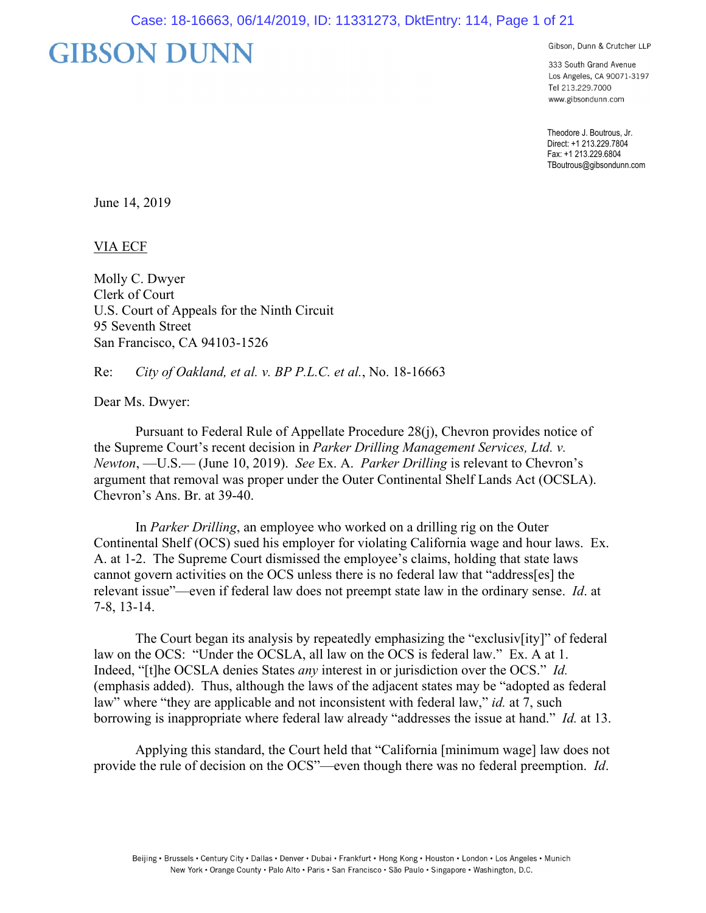# **GIBSON DUNN**

Gibson, Dunn & Crutcher LLP

333 South Grand Avenue Los Angeles, CA 90071-3197 Tel 213.229.7000 www.gibsondunn.com

Theodore J. Boutrous, Jr. Direct: +1 213.229.7804 Fax: +1 213.229.6804 TBoutrous@gibsondunn.com

June 14, 2019

VIA ECF

Molly C. Dwyer Clerk of Court U.S. Court of Appeals for the Ninth Circuit 95 Seventh Street San Francisco, CA 94103-1526

Re: *City of Oakland, et al. v. BP P.L.C. et al.*, No. 18-16663

Dear Ms. Dwyer:

 Pursuant to Federal Rule of Appellate Procedure 28(j), Chevron provides notice of the Supreme Court's recent decision in *Parker Drilling Management Services, Ltd. v. Newton*, —U.S.— (June 10, 2019). *See* Ex. A. *Parker Drilling* is relevant to Chevron's argument that removal was proper under the Outer Continental Shelf Lands Act (OCSLA). Chevron's Ans. Br. at 39-40.

 In *Parker Drilling*, an employee who worked on a drilling rig on the Outer Continental Shelf (OCS) sued his employer for violating California wage and hour laws. Ex. A. at 1-2. The Supreme Court dismissed the employee's claims, holding that state laws cannot govern activities on the OCS unless there is no federal law that "address[es] the relevant issue"—even if federal law does not preempt state law in the ordinary sense. *Id*. at 7-8, 13-14.

 The Court began its analysis by repeatedly emphasizing the "exclusiv[ity]" of federal law on the OCS: "Under the OCSLA, all law on the OCS is federal law." Ex. A at 1. Indeed, "[t]he OCSLA denies States *any* interest in or jurisdiction over the OCS." *Id.* (emphasis added). Thus, although the laws of the adjacent states may be "adopted as federal law" where "they are applicable and not inconsistent with federal law," *id.* at 7, such borrowing is inappropriate where federal law already "addresses the issue at hand." *Id.* at 13.

Applying this standard, the Court held that "California [minimum wage] law does not provide the rule of decision on the OCS"—even though there was no federal preemption. *Id*.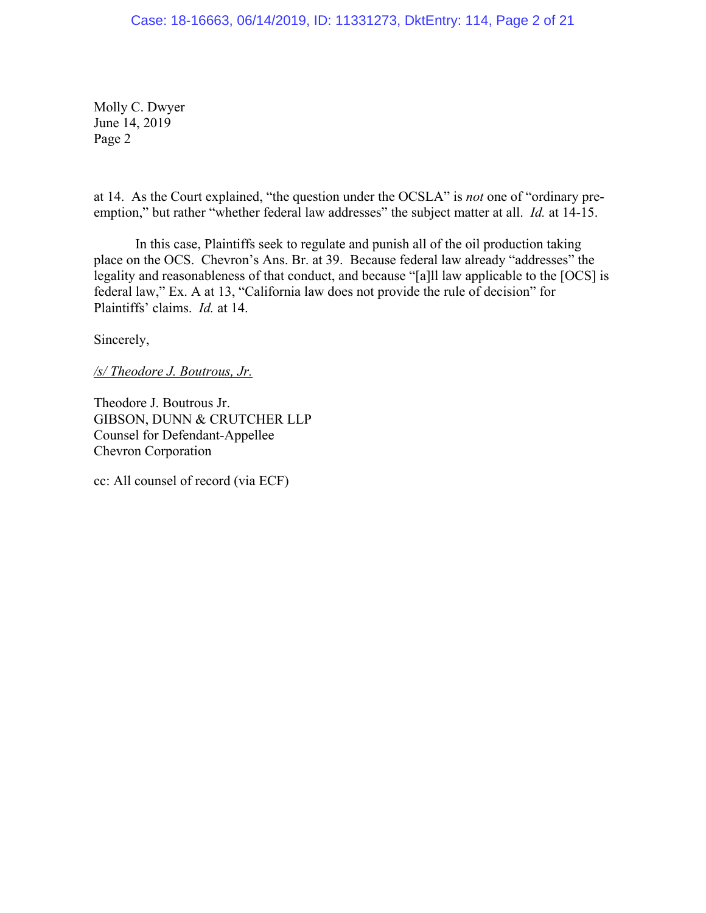Molly C. Dwyer June 14, 2019 Page 2

at 14. As the Court explained, "the question under the OCSLA" is *not* one of "ordinary preemption," but rather "whether federal law addresses" the subject matter at all. *Id.* at 14-15.

 In this case, Plaintiffs seek to regulate and punish all of the oil production taking place on the OCS. Chevron's Ans. Br. at 39. Because federal law already "addresses" the legality and reasonableness of that conduct, and because "[a]ll law applicable to the [OCS] is federal law," Ex. A at 13, "California law does not provide the rule of decision" for Plaintiffs' claims. *Id.* at 14.

Sincerely,

*/s/ Theodore J. Boutrous, Jr.* 

Theodore J. Boutrous Jr. GIBSON, DUNN & CRUTCHER LLP Counsel for Defendant-Appellee Chevron Corporation

cc: All counsel of record (via ECF)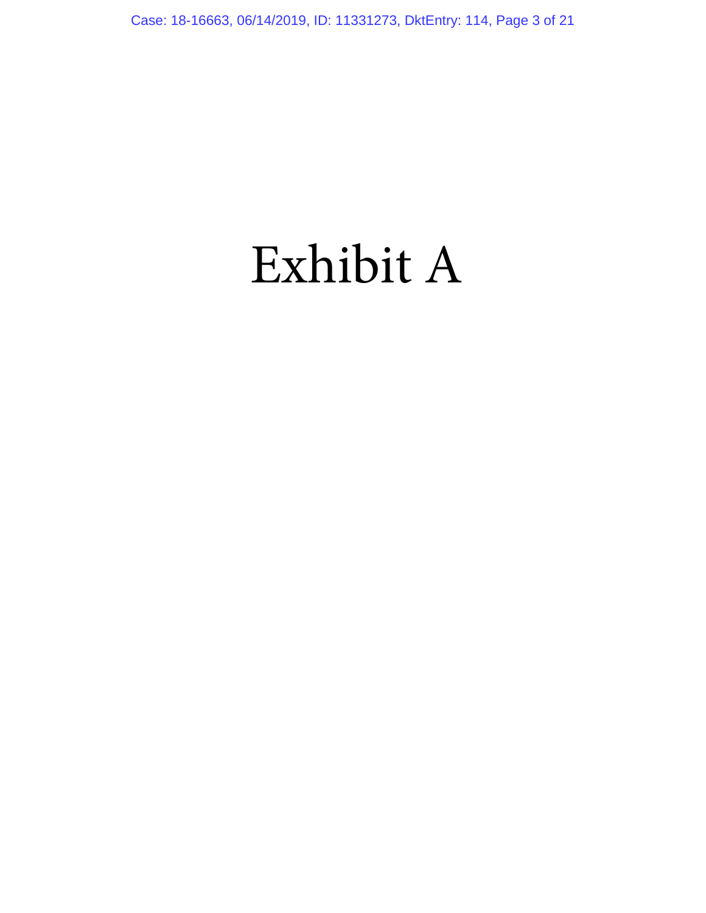# Exhibit A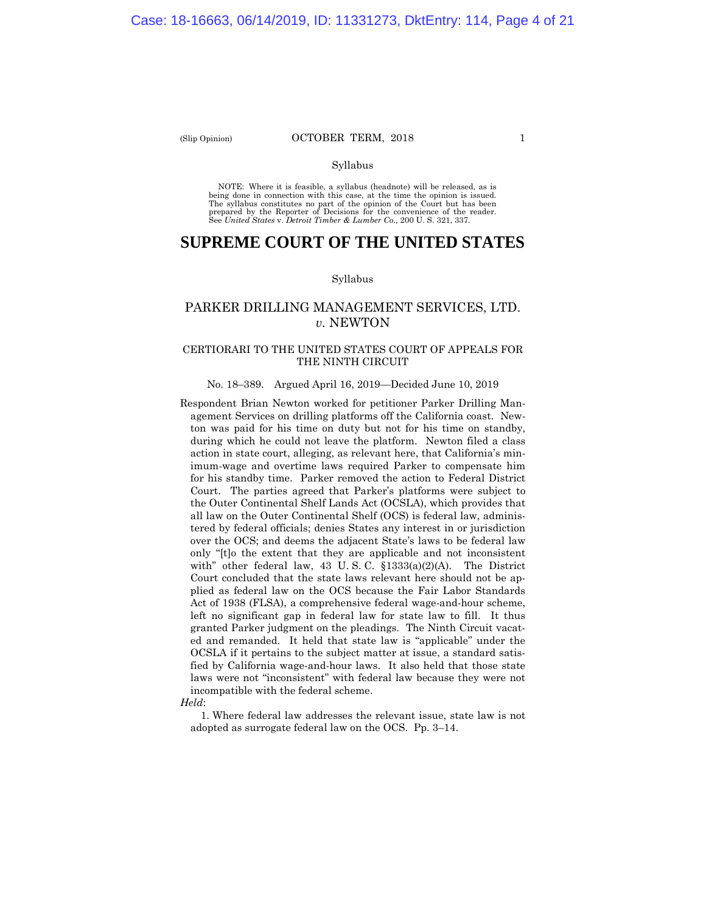#### (Slip Opinion) **OCTOBER TERM, 2018** 1

# Syllabus

NOTE: Where it is feasible, a syllabus (headnote) will be released, as is being done in connection with this case, at the time the opinion is issued. The syllabus constitutes no part of the opinion of the Court but has been<br>prepared by the Reporter of Decisions for the convenience of the reader.<br>See United States v. Detroit Timber & Lumber Co., 200 U. S. 321, 337.

# **SUPREME COURT OF THE UNITED STATES**

#### Syllabus

# PARKER DRILLING MANAGEMENT SERVICES, LTD. *v.* NEWTON

# CERTIORARI TO THE UNITED STATES COURT OF APPEALS FOR THE NINTH CIRCUIT

#### No. 18–389. Argued April 16, 2019—Decided June 10, 2019

Respondent Brian Newton worked for petitioner Parker Drilling Management Services on drilling platforms off the California coast. Newton was paid for his time on duty but not for his time on standby, during which he could not leave the platform. Newton filed a class action in state court, alleging, as relevant here, that California's minimum-wage and overtime laws required Parker to compensate him for his standby time. Parker removed the action to Federal District Court. The parties agreed that Parker's platforms were subject to the Outer Continental Shelf Lands Act (OCSLA), which provides that all law on the Outer Continental Shelf (OCS) is federal law, administered by federal officials; denies States any interest in or jurisdiction over the OCS; and deems the adjacent State's laws to be federal law only "[t]o the extent that they are applicable and not inconsistent with" other federal law, 43 U.S.C. §1333(a)(2)(A). The District Court concluded that the state laws relevant here should not be applied as federal law on the OCS because the Fair Labor Standards Act of 1938 (FLSA), a comprehensive federal wage-and-hour scheme, left no significant gap in federal law for state law to fill. It thus granted Parker judgment on the pleadings. The Ninth Circuit vacated and remanded. It held that state law is "applicable" under the OCSLA if it pertains to the subject matter at issue, a standard satisfied by California wage-and-hour laws. It also held that those state laws were not "inconsistent" with federal law because they were not incompatible with the federal scheme.

*Held*:

1. Where federal law addresses the relevant issue, state law is not adopted as surrogate federal law on the OCS. Pp. 3–14.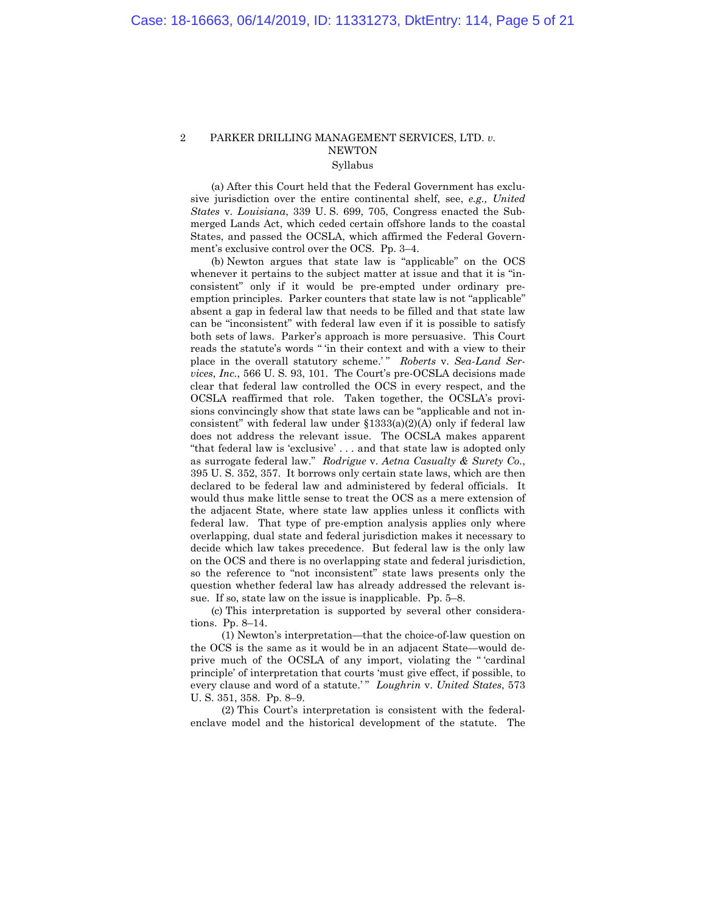# 2 PARKER DRILLING MANAGEMENT SERVICES, LTD. *v.* **NEWTON** Syllabus

 (a) After this Court held that the Federal Government has exclusive jurisdiction over the entire continental shelf, see, *e.g., United States* v. *Louisiana*, 339 U. S. 699, 705, Congress enacted the Submerged Lands Act, which ceded certain offshore lands to the coastal States, and passed the OCSLA, which affirmed the Federal Government's exclusive control over the OCS. Pp. 3–4.

 (b) Newton argues that state law is "applicable" on the OCS whenever it pertains to the subject matter at issue and that it is "inconsistent" only if it would be pre-empted under ordinary preemption principles. Parker counters that state law is not "applicable" absent a gap in federal law that needs to be filled and that state law can be "inconsistent" with federal law even if it is possible to satisfy both sets of laws. Parker's approach is more persuasive. This Court reads the statute's words " 'in their context and with a view to their place in the overall statutory scheme.'" Roberts v. Sea-Land Ser*vices*, *Inc.*, 566 U. S. 93, 101. The Court's pre-OCSLA decisions made clear that federal law controlled the OCS in every respect, and the OCSLA reaffirmed that role. Taken together, the OCSLA's provisions convincingly show that state laws can be "applicable and not inconsistent" with federal law under §1333(a)(2)(A) only if federal law does not address the relevant issue. The OCSLA makes apparent "that federal law is 'exclusive' . . . and that state law is adopted only as surrogate federal law." *Rodrigue* v. *Aetna Casualty & Surety Co.*, 395 U. S. 352, 357. It borrows only certain state laws, which are then declared to be federal law and administered by federal officials. It would thus make little sense to treat the OCS as a mere extension of the adjacent State, where state law applies unless it conflicts with federal law. That type of pre-emption analysis applies only where overlapping, dual state and federal jurisdiction makes it necessary to decide which law takes precedence. But federal law is the only law on the OCS and there is no overlapping state and federal jurisdiction, so the reference to "not inconsistent" state laws presents only the question whether federal law has already addressed the relevant issue. If so, state law on the issue is inapplicable. Pp. 5–8.

 (c) This interpretation is supported by several other considerations. Pp. 8–14.

 (1) Newton's interpretation—that the choice-of-law question on the OCS is the same as it would be in an adjacent State—would deprive much of the OCSLA of any import, violating the " 'cardinal principle' of interpretation that courts 'must give effect, if possible, to every clause and word of a statute.'" Loughrin v. United States, 573 U. S. 351, 358. Pp. 8–9.

 (2) This Court's interpretation is consistent with the federalenclave model and the historical development of the statute. The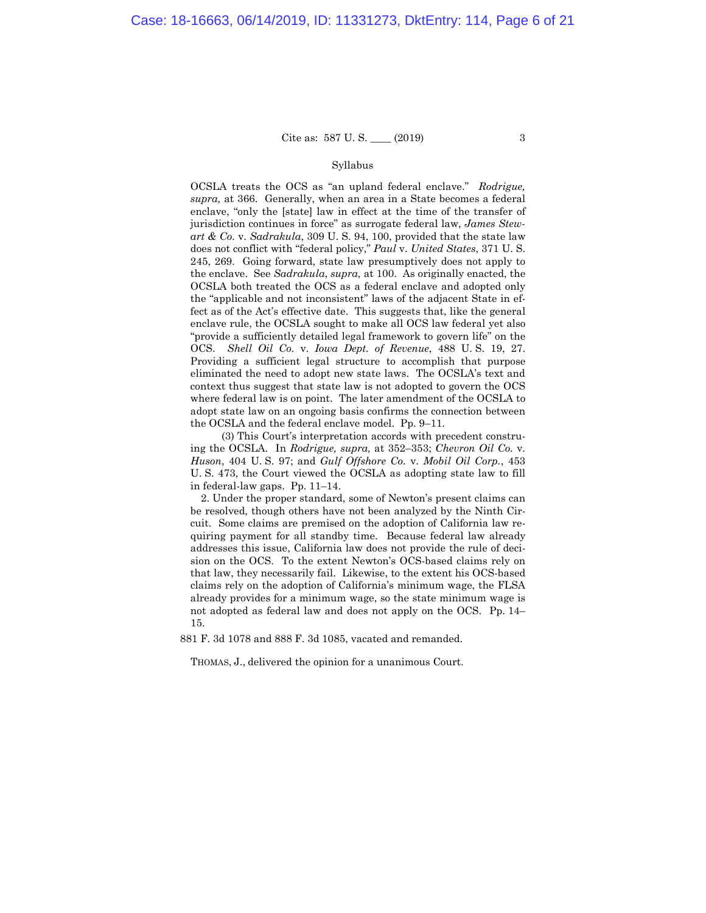#### Syllabus

OCSLA treats the OCS as "an upland federal enclave." *Rodrigue, supra,* at 366. Generally, when an area in a State becomes a federal enclave, "only the [state] law in effect at the time of the transfer of jurisdiction continues in force" as surrogate federal law, *James Stewart & Co.* v. *Sadrakula*, 309 U. S. 94, 100, provided that the state law does not conflict with "federal policy," *Paul* v. *United States*, 371 U. S. 245, 269. Going forward, state law presumptively does not apply to the enclave. See *Sadrakula*, *supra,* at 100. As originally enacted, the OCSLA both treated the OCS as a federal enclave and adopted only the "applicable and not inconsistent" laws of the adjacent State in effect as of the Act's effective date. This suggests that, like the general enclave rule, the OCSLA sought to make all OCS law federal yet also "provide a sufficiently detailed legal framework to govern life" on the OCS. *Shell Oil Co.* v. *Iowa Dept. of Revenue*, 488 U. S. 19, 27. Providing a sufficient legal structure to accomplish that purpose eliminated the need to adopt new state laws. The OCSLA's text and context thus suggest that state law is not adopted to govern the OCS where federal law is on point. The later amendment of the OCSLA to adopt state law on an ongoing basis confirms the connection between the OCSLA and the federal enclave model. Pp. 9–11.

 (3) This Court's interpretation accords with precedent construing the OCSLA. In *Rodrigue, supra,* at 352–353; *Chevron Oil Co.* v. *Huson*, 404 U. S. 97; and *Gulf Offshore Co.* v. *Mobil Oil Corp.*, 453 U. S. 473, the Court viewed the OCSLA as adopting state law to fill in federal-law gaps. Pp. 11–14.

2. Under the proper standard, some of Newton's present claims can be resolved, though others have not been analyzed by the Ninth Circuit. Some claims are premised on the adoption of California law requiring payment for all standby time. Because federal law already addresses this issue, California law does not provide the rule of decision on the OCS. To the extent Newton's OCS-based claims rely on that law, they necessarily fail. Likewise, to the extent his OCS-based claims rely on the adoption of California's minimum wage, the FLSA already provides for a minimum wage, so the state minimum wage is not adopted as federal law and does not apply on the OCS. Pp. 14– 15.

881 F. 3d 1078 and 888 F. 3d 1085, vacated and remanded.

THOMAS, J., delivered the opinion for a unanimous Court.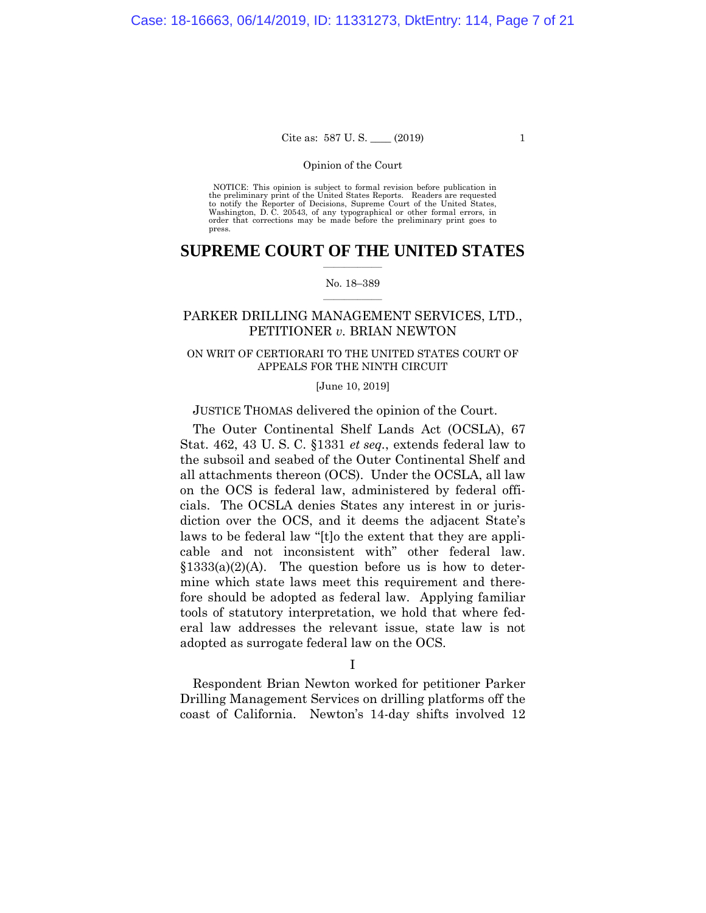#### Opinion of the Court

 NOTICE: This opinion is subject to formal revision before publication in the preliminary print of the United States Reports. Readers are requested to notify the Reporter of Decisions, Supreme Court of the United States, Washington, D. C. 20543, of any typographical or other formal errors, in order that corrections may be made before the preliminary print goes to press.

# **SUPREME COURT OF THE UNITED STATES**  $\mathcal{L}=\mathcal{L}^{\mathcal{L}}$  , where  $\mathcal{L}^{\mathcal{L}}$

#### No. 18–389  $\overline{\phantom{a}}$  , where  $\overline{\phantom{a}}$

# PARKER DRILLING MANAGEMENT SERVICES, LTD., PETITIONER *v.* BRIAN NEWTON

# ON WRIT OF CERTIORARI TO THE UNITED STATES COURT OF APPEALS FOR THE NINTH CIRCUIT

#### [June 10, 2019]

#### JUSTICE THOMAS delivered the opinion of the Court.

The Outer Continental Shelf Lands Act (OCSLA), 67 Stat. 462, 43 U. S. C. §1331 *et seq.*, extends federal law to the subsoil and seabed of the Outer Continental Shelf and all attachments thereon (OCS). Under the OCSLA, all law on the OCS is federal law, administered by federal officials. The OCSLA denies States any interest in or jurisdiction over the OCS, and it deems the adjacent State's laws to be federal law "[t]o the extent that they are applicable and not inconsistent with" other federal law.  $§1333(a)(2)(A)$ . The question before us is how to determine which state laws meet this requirement and therefore should be adopted as federal law. Applying familiar tools of statutory interpretation, we hold that where federal law addresses the relevant issue, state law is not adopted as surrogate federal law on the OCS.

I

Respondent Brian Newton worked for petitioner Parker Drilling Management Services on drilling platforms off the coast of California. Newton's 14-day shifts involved 12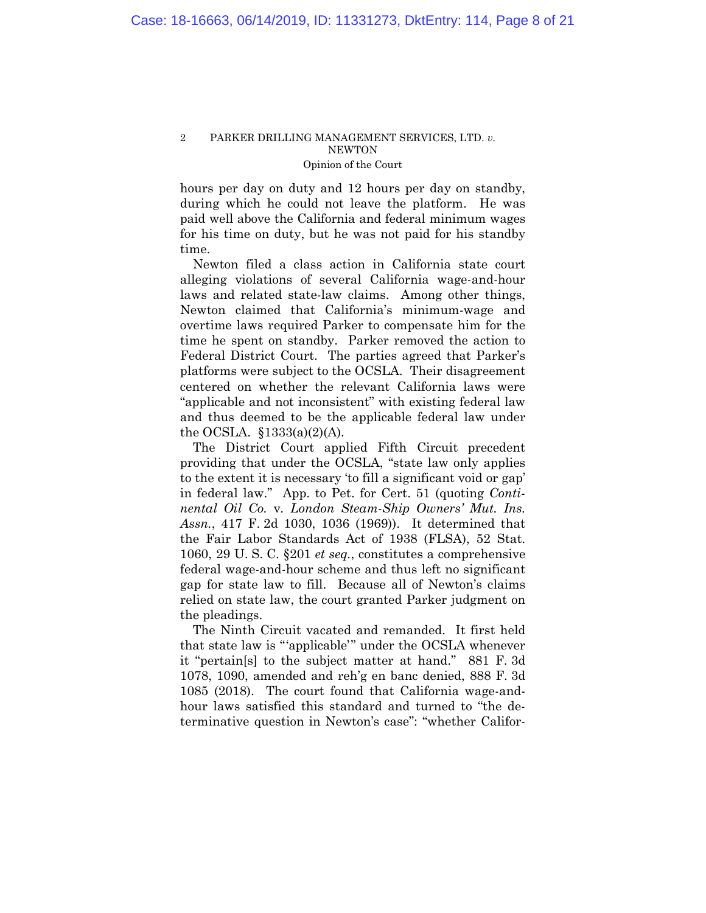hours per day on duty and 12 hours per day on standby, during which he could not leave the platform. He was paid well above the California and federal minimum wages for his time on duty, but he was not paid for his standby time.

Newton filed a class action in California state court alleging violations of several California wage-and-hour laws and related state-law claims. Among other things, Newton claimed that California's minimum-wage and overtime laws required Parker to compensate him for the time he spent on standby. Parker removed the action to Federal District Court. The parties agreed that Parker's platforms were subject to the OCSLA. Their disagreement centered on whether the relevant California laws were "applicable and not inconsistent" with existing federal law and thus deemed to be the applicable federal law under the OCSLA.  $\S$ 1333(a)(2)(A).

The District Court applied Fifth Circuit precedent providing that under the OCSLA, "state law only applies to the extent it is necessary 'to fill a significant void or gap' in federal law." App. to Pet. for Cert. 51 (quoting *Continental Oil Co.* v. *London Steam-Ship Owners' Mut. Ins. Assn.*, 417 F. 2d 1030, 1036 (1969)). It determined that the Fair Labor Standards Act of 1938 (FLSA), 52 Stat. 1060, 29 U. S. C. §201 *et seq.*, constitutes a comprehensive federal wage-and-hour scheme and thus left no significant gap for state law to fill. Because all of Newton's claims relied on state law, the court granted Parker judgment on the pleadings.

The Ninth Circuit vacated and remanded. It first held that state law is "'applicable'" under the OCSLA whenever it "pertain[s] to the subject matter at hand." 881 F. 3d 1078, 1090, amended and reh'g en banc denied, 888 F. 3d 1085 (2018). The court found that California wage-andhour laws satisfied this standard and turned to "the determinative question in Newton's case": "whether Califor-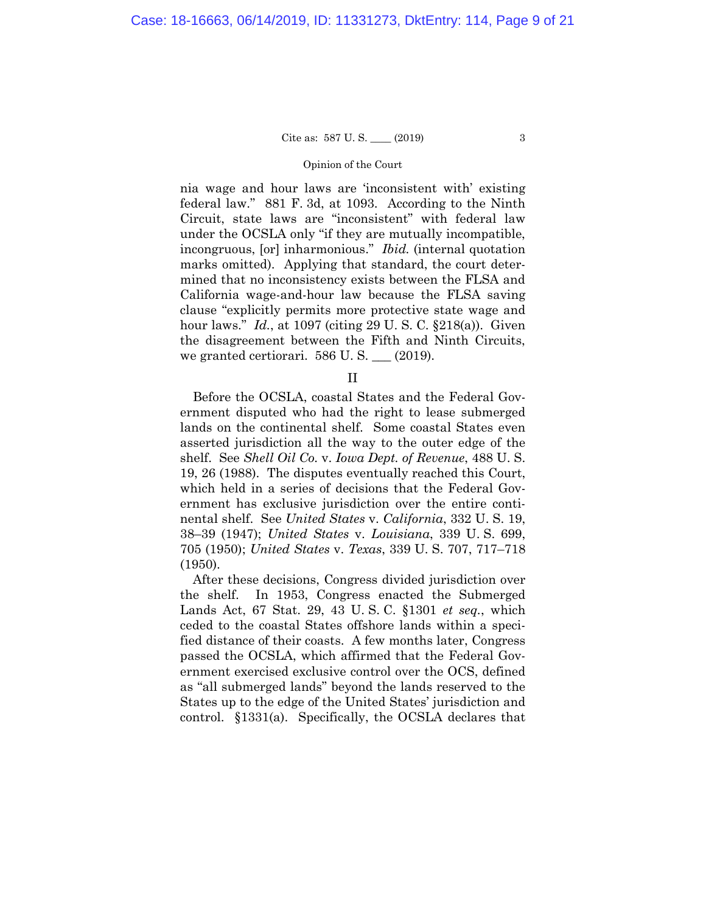#### Opinion of the Court

nia wage and hour laws are 'inconsistent with' existing federal law." 881 F. 3d, at 1093. According to the Ninth Circuit, state laws are "inconsistent" with federal law under the OCSLA only "if they are mutually incompatible, incongruous, [or] inharmonious." *Ibid.* (internal quotation marks omitted). Applying that standard, the court determined that no inconsistency exists between the FLSA and California wage-and-hour law because the FLSA saving clause "explicitly permits more protective state wage and hour laws." *Id.*, at 1097 (citing 29 U. S. C. §218(a)). Given the disagreement between the Fifth and Ninth Circuits, we granted certiorari. 586 U.S. \_\_ (2019).

II

Before the OCSLA, coastal States and the Federal Government disputed who had the right to lease submerged lands on the continental shelf. Some coastal States even asserted jurisdiction all the way to the outer edge of the shelf. See *Shell Oil Co.* v. *Iowa Dept. of Revenue*, 488 U. S. 19, 26 (1988). The disputes eventually reached this Court, which held in a series of decisions that the Federal Government has exclusive jurisdiction over the entire continental shelf. See *United States* v. *California*, 332 U. S. 19, 38–39 (1947); *United States* v. *Louisiana*, 339 U. S. 699, 705 (1950); *United States* v. *Texas*, 339 U. S. 707, 717–718 (1950).

After these decisions, Congress divided jurisdiction over the shelf. In 1953, Congress enacted the Submerged Lands Act, 67 Stat. 29, 43 U. S. C. §1301 *et seq.*, which ceded to the coastal States offshore lands within a specified distance of their coasts. A few months later, Congress passed the OCSLA, which affirmed that the Federal Government exercised exclusive control over the OCS, defined as "all submerged lands" beyond the lands reserved to the States up to the edge of the United States' jurisdiction and control. §1331(a). Specifically, the OCSLA declares that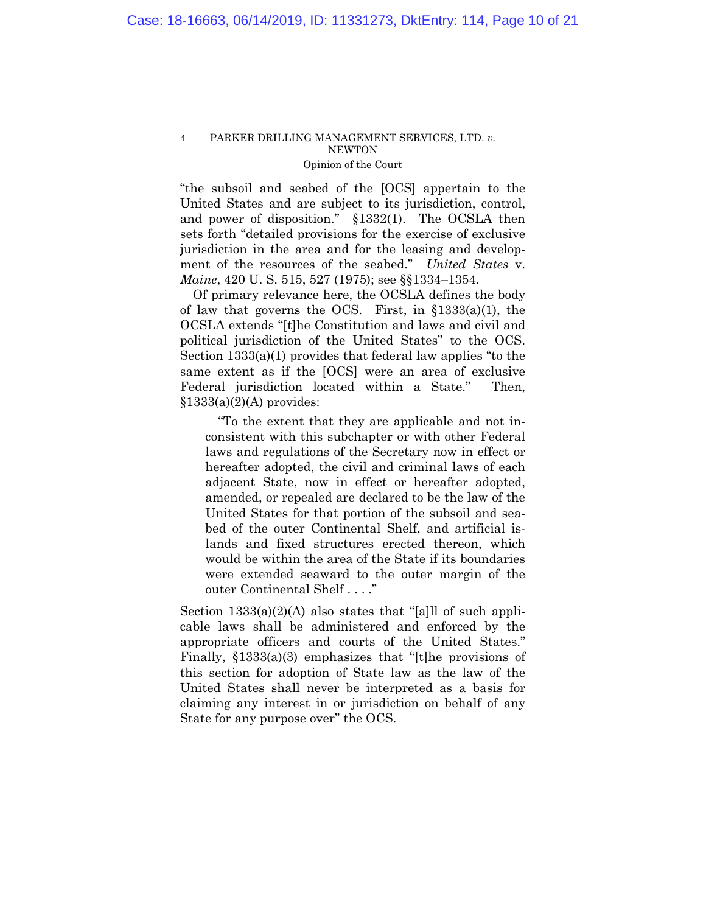"the subsoil and seabed of the [OCS] appertain to the United States and are subject to its jurisdiction, control, and power of disposition." §1332(1). The OCSLA then sets forth "detailed provisions for the exercise of exclusive jurisdiction in the area and for the leasing and development of the resources of the seabed." *United States* v. *Maine*, 420 U. S. 515, 527 (1975); see §§1334–1354.

Of primary relevance here, the OCSLA defines the body of law that governs the OCS. First, in §1333(a)(1), the OCSLA extends "[t]he Constitution and laws and civil and political jurisdiction of the United States" to the OCS. Section 1333(a)(1) provides that federal law applies "to the same extent as if the [OCS] were an area of exclusive Federal jurisdiction located within a State." Then,  $§1333(a)(2)(A)$  provides:

 "To the extent that they are applicable and not inconsistent with this subchapter or with other Federal laws and regulations of the Secretary now in effect or hereafter adopted, the civil and criminal laws of each adjacent State, now in effect or hereafter adopted, amended, or repealed are declared to be the law of the United States for that portion of the subsoil and seabed of the outer Continental Shelf, and artificial islands and fixed structures erected thereon, which would be within the area of the State if its boundaries were extended seaward to the outer margin of the outer Continental Shelf . . . ."

Section  $1333(a)(2)(A)$  also states that "[a]ll of such applicable laws shall be administered and enforced by the appropriate officers and courts of the United States." Finally, §1333(a)(3) emphasizes that "[t]he provisions of this section for adoption of State law as the law of the United States shall never be interpreted as a basis for claiming any interest in or jurisdiction on behalf of any State for any purpose over" the OCS.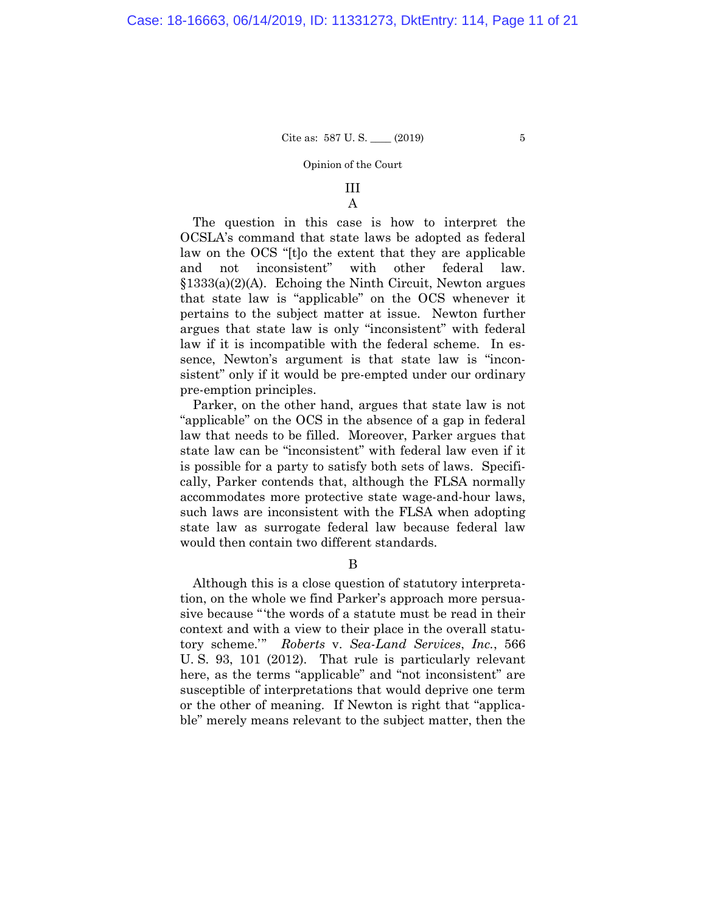#### Opinion of the Court

# III A

The question in this case is how to interpret the OCSLA's command that state laws be adopted as federal law on the OCS "[t]o the extent that they are applicable and not inconsistent" with other federal law.  $$1333(a)(2)(A)$ . Echoing the Ninth Circuit, Newton argues that state law is "applicable" on the OCS whenever it pertains to the subject matter at issue. Newton further argues that state law is only "inconsistent" with federal law if it is incompatible with the federal scheme. In essence, Newton's argument is that state law is "inconsistent" only if it would be pre-empted under our ordinary pre-emption principles.

Parker, on the other hand, argues that state law is not "applicable" on the OCS in the absence of a gap in federal law that needs to be filled. Moreover, Parker argues that state law can be "inconsistent" with federal law even if it is possible for a party to satisfy both sets of laws. Specifically, Parker contends that, although the FLSA normally accommodates more protective state wage-and-hour laws, such laws are inconsistent with the FLSA when adopting state law as surrogate federal law because federal law would then contain two different standards.

B

Although this is a close question of statutory interpretation, on the whole we find Parker's approach more persuasive because "'the words of a statute must be read in their context and with a view to their place in the overall statutory scheme.'" *Roberts* v. *Sea-Land Services*, *Inc.*, 566 U. S. 93, 101 (2012). That rule is particularly relevant here, as the terms "applicable" and "not inconsistent" are susceptible of interpretations that would deprive one term or the other of meaning. If Newton is right that "applicable" merely means relevant to the subject matter, then the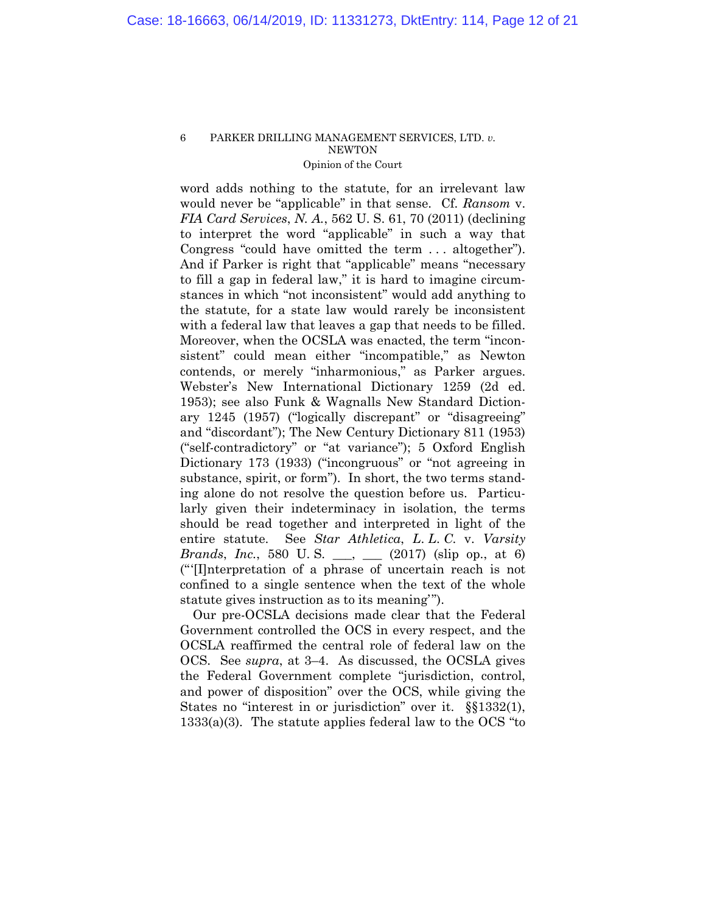word adds nothing to the statute, for an irrelevant law would never be "applicable" in that sense. Cf. *Ransom* v. *FIA Card Services*, *N. A.*, 562 U. S. 61, 70 (2011) (declining to interpret the word "applicable" in such a way that Congress "could have omitted the term . . . altogether"). And if Parker is right that "applicable" means "necessary to fill a gap in federal law," it is hard to imagine circumstances in which "not inconsistent" would add anything to the statute, for a state law would rarely be inconsistent with a federal law that leaves a gap that needs to be filled. Moreover, when the OCSLA was enacted, the term "inconsistent" could mean either "incompatible," as Newton contends, or merely "inharmonious," as Parker argues. Webster's New International Dictionary 1259 (2d ed. 1953); see also Funk & Wagnalls New Standard Dictionary 1245 (1957) ("logically discrepant" or "disagreeing" and "discordant"); The New Century Dictionary 811 (1953) ("self-contradictory" or "at variance"); 5 Oxford English Dictionary 173 (1933) ("incongruous" or "not agreeing in substance, spirit, or form"). In short, the two terms standing alone do not resolve the question before us. Particularly given their indeterminacy in isolation, the terms should be read together and interpreted in light of the entire statute. See *Star Athletica*, *L*. *L*. *C*. v. *Varsity Brands*, *Inc.*, 580 U.S. \_\_, \_\_ (2017) (slip op., at 6) ("'[I]nterpretation of a phrase of uncertain reach is not confined to a single sentence when the text of the whole statute gives instruction as to its meaning'").

Our pre-OCSLA decisions made clear that the Federal Government controlled the OCS in every respect, and the OCSLA reaffirmed the central role of federal law on the OCS. See *supra*, at 3–4. As discussed, the OCSLA gives the Federal Government complete "jurisdiction, control, and power of disposition" over the OCS, while giving the States no "interest in or jurisdiction" over it. §§1332(1),  $1333(a)(3)$ . The statute applies federal law to the OCS "to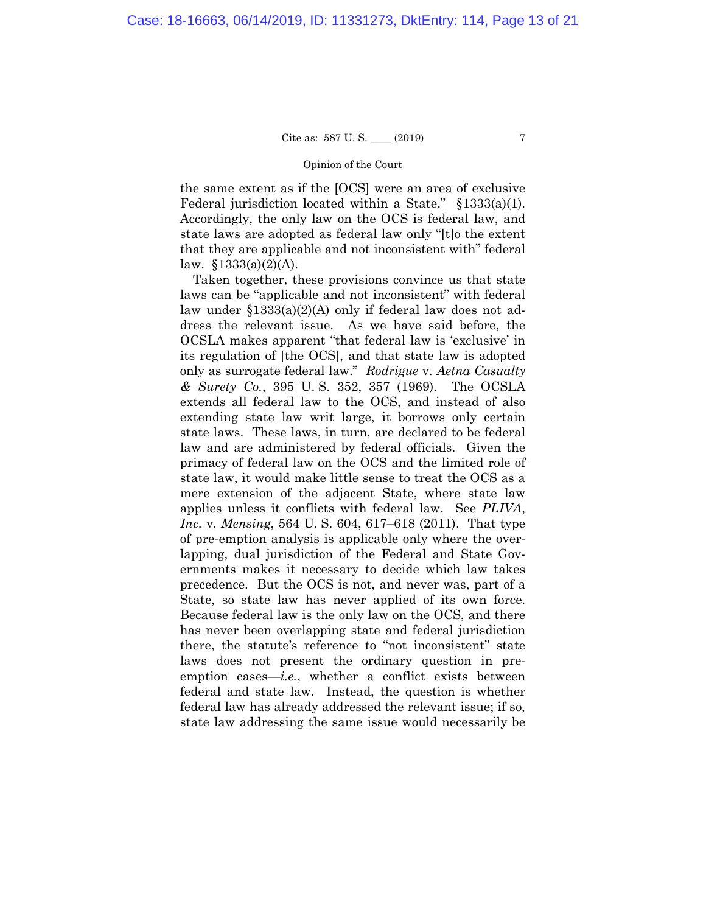#### Opinion of the Court

the same extent as if the [OCS] were an area of exclusive Federal jurisdiction located within a State." §1333(a)(1). Accordingly, the only law on the OCS is federal law, and state laws are adopted as federal law only "[t]o the extent that they are applicable and not inconsistent with" federal law.  $$1333(a)(2)(A)$ .

Taken together, these provisions convince us that state laws can be "applicable and not inconsistent" with federal law under §1333(a)(2)(A) only if federal law does not address the relevant issue. As we have said before, the OCSLA makes apparent "that federal law is 'exclusive' in its regulation of [the OCS], and that state law is adopted only as surrogate federal law." *Rodrigue* v. *Aetna Casualty & Surety Co.*, 395 U. S. 352, 357 (1969). The OCSLA extends all federal law to the OCS, and instead of also extending state law writ large, it borrows only certain state laws. These laws, in turn, are declared to be federal law and are administered by federal officials. Given the primacy of federal law on the OCS and the limited role of state law, it would make little sense to treat the OCS as a mere extension of the adjacent State, where state law applies unless it conflicts with federal law. See *PLIVA*, *Inc.* v. *Mensing*, 564 U. S. 604, 617–618 (2011). That type of pre-emption analysis is applicable only where the overlapping, dual jurisdiction of the Federal and State Governments makes it necessary to decide which law takes precedence. But the OCS is not, and never was, part of a State, so state law has never applied of its own force. Because federal law is the only law on the OCS, and there has never been overlapping state and federal jurisdiction there, the statute's reference to "not inconsistent" state laws does not present the ordinary question in preemption cases—*i.e.*, whether a conflict exists between federal and state law. Instead, the question is whether federal law has already addressed the relevant issue; if so, state law addressing the same issue would necessarily be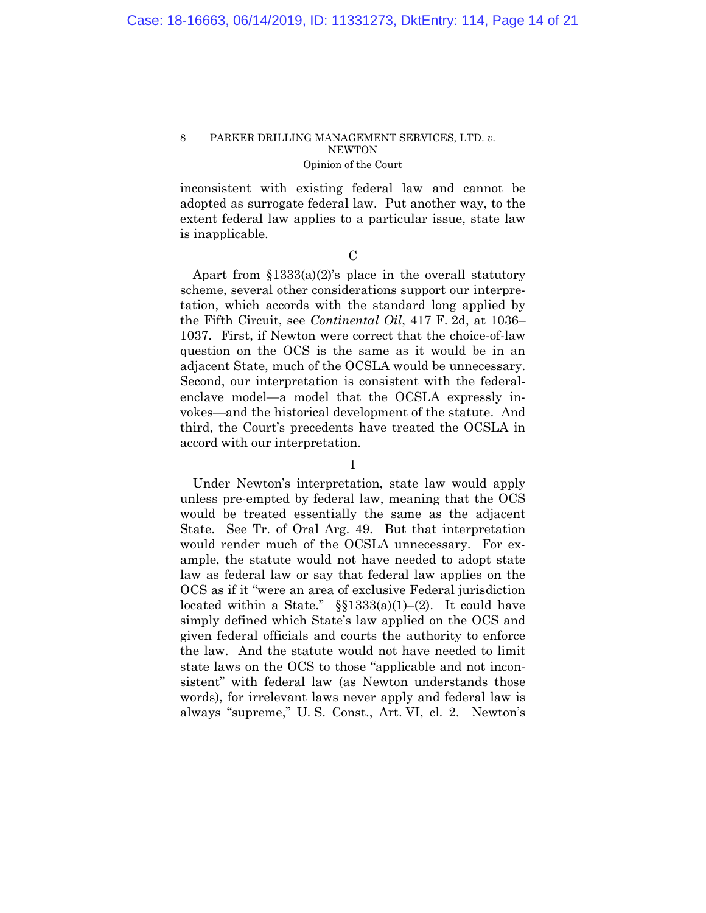inconsistent with existing federal law and cannot be adopted as surrogate federal law. Put another way, to the extent federal law applies to a particular issue, state law is inapplicable.

 $\overline{C}$ 

Apart from §1333(a)(2)'s place in the overall statutory scheme, several other considerations support our interpretation, which accords with the standard long applied by the Fifth Circuit, see *Continental Oil*, 417 F. 2d, at 1036– 1037. First, if Newton were correct that the choice-of-law question on the OCS is the same as it would be in an adjacent State, much of the OCSLA would be unnecessary. Second, our interpretation is consistent with the federalenclave model—a model that the OCSLA expressly invokes—and the historical development of the statute. And third, the Court's precedents have treated the OCSLA in accord with our interpretation.

1

Under Newton's interpretation, state law would apply unless pre-empted by federal law, meaning that the OCS would be treated essentially the same as the adjacent State. See Tr. of Oral Arg. 49. But that interpretation would render much of the OCSLA unnecessary. For example, the statute would not have needed to adopt state law as federal law or say that federal law applies on the OCS as if it "were an area of exclusive Federal jurisdiction located within a State."  $\S$  $1333(a)(1)–(2)$ . It could have simply defined which State's law applied on the OCS and given federal officials and courts the authority to enforce the law. And the statute would not have needed to limit state laws on the OCS to those "applicable and not inconsistent" with federal law (as Newton understands those words), for irrelevant laws never apply and federal law is always "supreme," U. S. Const., Art. VI, cl. 2. Newton's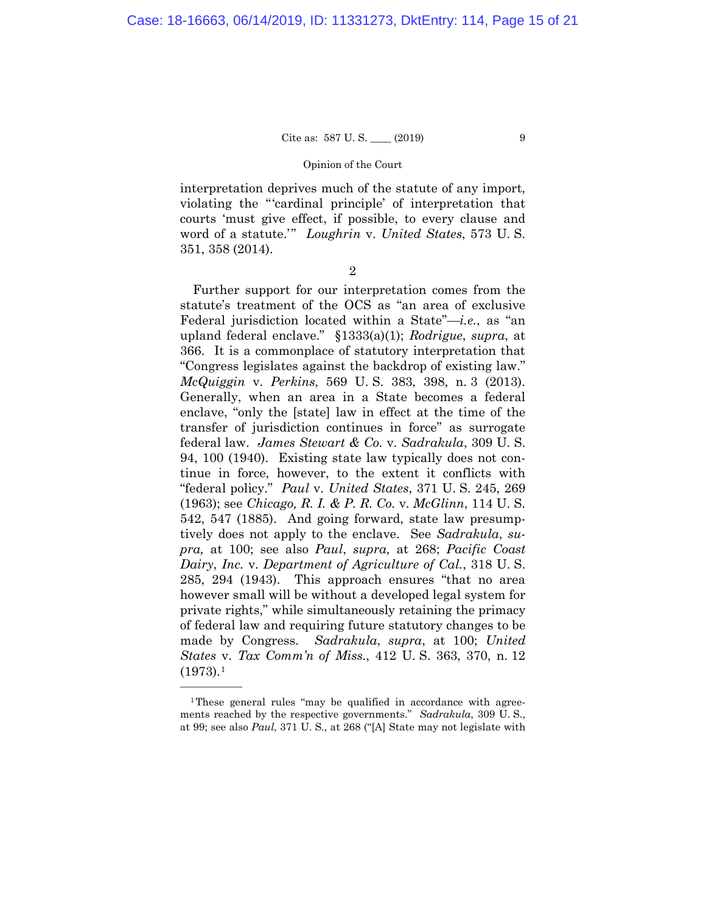# Cite as:  $587 \text{ U.S.}$  (2019) 9

#### Opinion of the Court

interpretation deprives much of the statute of any import, violating the "'cardinal principle' of interpretation that courts 'must give effect, if possible, to every clause and word of a statute.'" *Loughrin* v. *United States*, 573 U. S. 351, 358 (2014).

2

Further support for our interpretation comes from the statute's treatment of the OCS as "an area of exclusive Federal jurisdiction located within a State"—*i.e.*, as "an upland federal enclave." §1333(a)(1); *Rodrigue*, *supra*, at 366. It is a commonplace of statutory interpretation that "Congress legislates against the backdrop of existing law." *McQuiggin* v. *Perkins*, 569 U. S. 383, 398, n. 3 (2013). Generally, when an area in a State becomes a federal enclave, "only the [state] law in effect at the time of the transfer of jurisdiction continues in force" as surrogate federal law. *James Stewart & Co.* v. *Sadrakula*, 309 U. S. 94, 100 (1940). Existing state law typically does not continue in force, however, to the extent it conflicts with "federal policy." *Paul* v. *United States*, 371 U. S. 245, 269 (1963); see *Chicago, R. I. & P. R. Co.* v. *McGlinn*, 114 U. S. 542, 547 (1885). And going forward, state law presumptively does not apply to the enclave. See *Sadrakula*, *supra,* at 100; see also *Paul*, *supra,* at 268; *Pacific Coast Dairy*, *Inc.* v. *Department of Agriculture of Cal.*, 318 U. S. 285, 294 (1943). This approach ensures "that no area however small will be without a developed legal system for private rights," while simultaneously retaining the primacy of federal law and requiring future statutory changes to be made by Congress. *Sadrakula*, *supra*, at 100; *United States* v. *Tax Comm'n of Miss.*, 412 U. S. 363, 370, n. 12  $(1973).<sup>1</sup>$  $(1973).<sup>1</sup>$  $(1973).<sup>1</sup>$ 

——————

<span id="page-14-0"></span><sup>1</sup>These general rules "may be qualified in accordance with agreements reached by the respective governments." *Sadrakula*, 309 U. S., at 99; see also *Paul*, 371 U. S., at 268 ("[A] State may not legislate with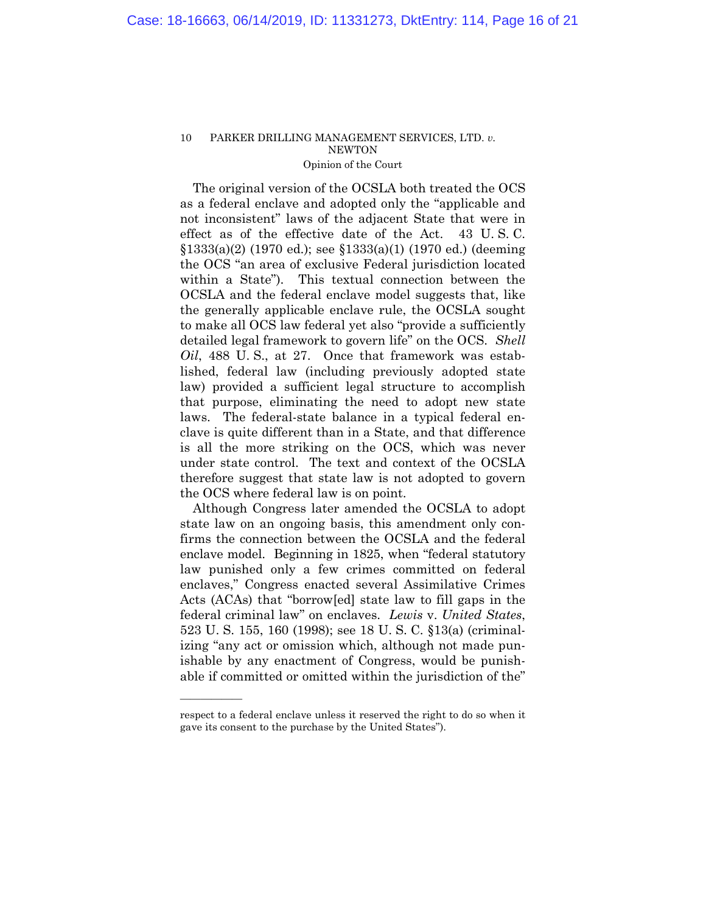The original version of the OCSLA both treated the OCS as a federal enclave and adopted only the "applicable and not inconsistent" laws of the adjacent State that were in effect as of the effective date of the Act. 43 U. S. C. §1333(a)(2) (1970 ed.); see §1333(a)(1) (1970 ed.) (deeming the OCS "an area of exclusive Federal jurisdiction located within a State"). This textual connection between the OCSLA and the federal enclave model suggests that, like the generally applicable enclave rule, the OCSLA sought to make all OCS law federal yet also "provide a sufficiently detailed legal framework to govern life" on the OCS. *Shell Oil*, 488 U. S., at 27. Once that framework was established, federal law (including previously adopted state law) provided a sufficient legal structure to accomplish that purpose, eliminating the need to adopt new state laws. The federal-state balance in a typical federal enclave is quite different than in a State, and that difference is all the more striking on the OCS, which was never under state control. The text and context of the OCSLA therefore suggest that state law is not adopted to govern the OCS where federal law is on point.

Although Congress later amended the OCSLA to adopt state law on an ongoing basis, this amendment only confirms the connection between the OCSLA and the federal enclave model. Beginning in 1825, when "federal statutory law punished only a few crimes committed on federal enclaves," Congress enacted several Assimilative Crimes Acts (ACAs) that "borrow[ed] state law to fill gaps in the federal criminal law" on enclaves. *Lewis* v. *United States*, 523 U. S. 155, 160 (1998); see 18 U. S. C. §13(a) (criminalizing "any act or omission which, although not made punishable by any enactment of Congress, would be punishable if committed or omitted within the jurisdiction of the"

——————

respect to a federal enclave unless it reserved the right to do so when it gave its consent to the purchase by the United States").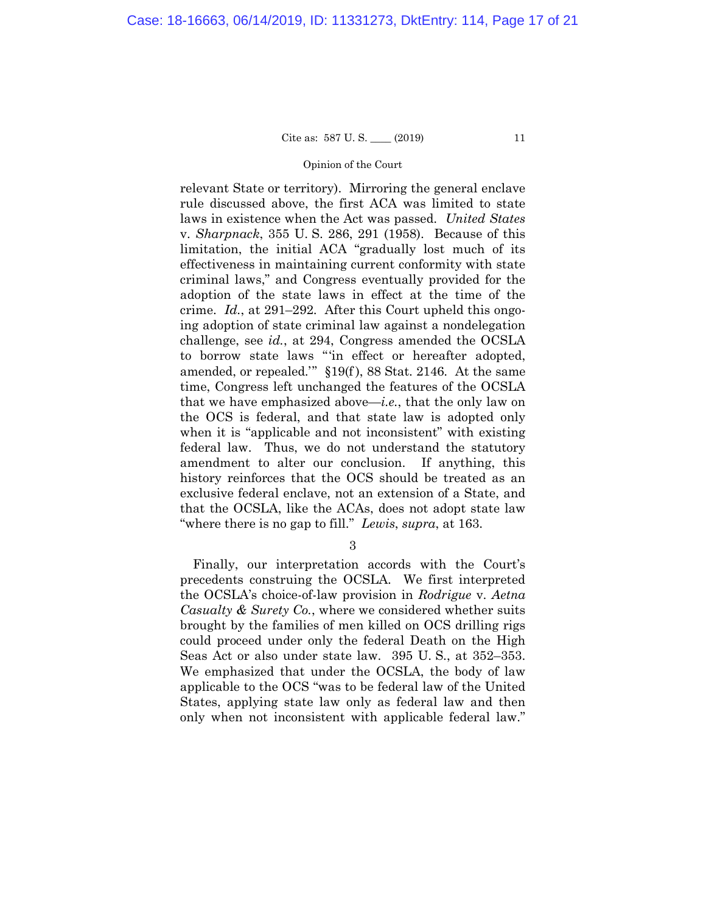#### Opinion of the Court

relevant State or territory). Mirroring the general enclave rule discussed above, the first ACA was limited to state laws in existence when the Act was passed. *United States* v. *Sharpnack*, 355 U. S. 286, 291 (1958). Because of this limitation, the initial ACA "gradually lost much of its effectiveness in maintaining current conformity with state criminal laws," and Congress eventually provided for the adoption of the state laws in effect at the time of the crime. *Id.*, at 291–292. After this Court upheld this ongoing adoption of state criminal law against a nondelegation challenge, see *id.*, at 294, Congress amended the OCSLA to borrow state laws "'in effect or hereafter adopted, amended, or repealed.'" §19(f ), 88 Stat. 2146. At the same time, Congress left unchanged the features of the OCSLA that we have emphasized above—*i.e.*, that the only law on the OCS is federal, and that state law is adopted only when it is "applicable and not inconsistent" with existing federal law. Thus, we do not understand the statutory amendment to alter our conclusion. If anything, this history reinforces that the OCS should be treated as an exclusive federal enclave, not an extension of a State, and that the OCSLA, like the ACAs, does not adopt state law "where there is no gap to fill." *Lewis*, *supra*, at 163.

3

Finally, our interpretation accords with the Court's precedents construing the OCSLA. We first interpreted the OCSLA's choice-of-law provision in *Rodrigue* v. *Aetna Casualty & Surety Co.*, where we considered whether suits brought by the families of men killed on OCS drilling rigs could proceed under only the federal Death on the High Seas Act or also under state law. 395 U. S., at 352–353. We emphasized that under the OCSLA, the body of law applicable to the OCS "was to be federal law of the United States, applying state law only as federal law and then only when not inconsistent with applicable federal law."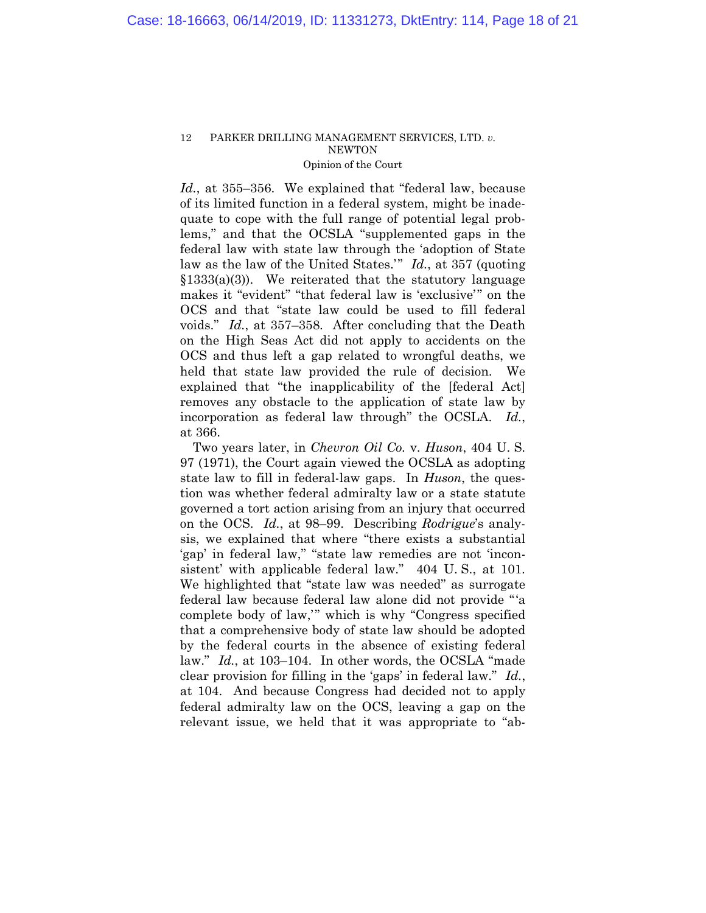*Id.*, at 355–356. We explained that "federal law, because of its limited function in a federal system, might be inadequate to cope with the full range of potential legal problems," and that the OCSLA "supplemented gaps in the federal law with state law through the 'adoption of State law as the law of the United States.'" *Id.*, at 357 (quoting  $$1333(a)(3)$ . We reiterated that the statutory language makes it "evident" "that federal law is 'exclusive'" on the OCS and that "state law could be used to fill federal voids." *Id.*, at 357–358. After concluding that the Death on the High Seas Act did not apply to accidents on the OCS and thus left a gap related to wrongful deaths, we held that state law provided the rule of decision. We explained that "the inapplicability of the [federal Act] removes any obstacle to the application of state law by incorporation as federal law through" the OCSLA. *Id.*, at 366.

Two years later, in *Chevron Oil Co.* v. *Huson*, 404 U. S. 97 (1971), the Court again viewed the OCSLA as adopting state law to fill in federal-law gaps. In *Huson*, the question was whether federal admiralty law or a state statute governed a tort action arising from an injury that occurred on the OCS. *Id.*, at 98–99. Describing *Rodrigue*'s analysis, we explained that where "there exists a substantial 'gap' in federal law," "state law remedies are not 'inconsistent' with applicable federal law." 404 U.S., at 101. We highlighted that "state law was needed" as surrogate federal law because federal law alone did not provide "'a complete body of law,'" which is why "Congress specified that a comprehensive body of state law should be adopted by the federal courts in the absence of existing federal law." *Id.*, at 103–104. In other words, the OCSLA "made clear provision for filling in the 'gaps' in federal law." *Id.*, at 104. And because Congress had decided not to apply federal admiralty law on the OCS, leaving a gap on the relevant issue, we held that it was appropriate to "ab-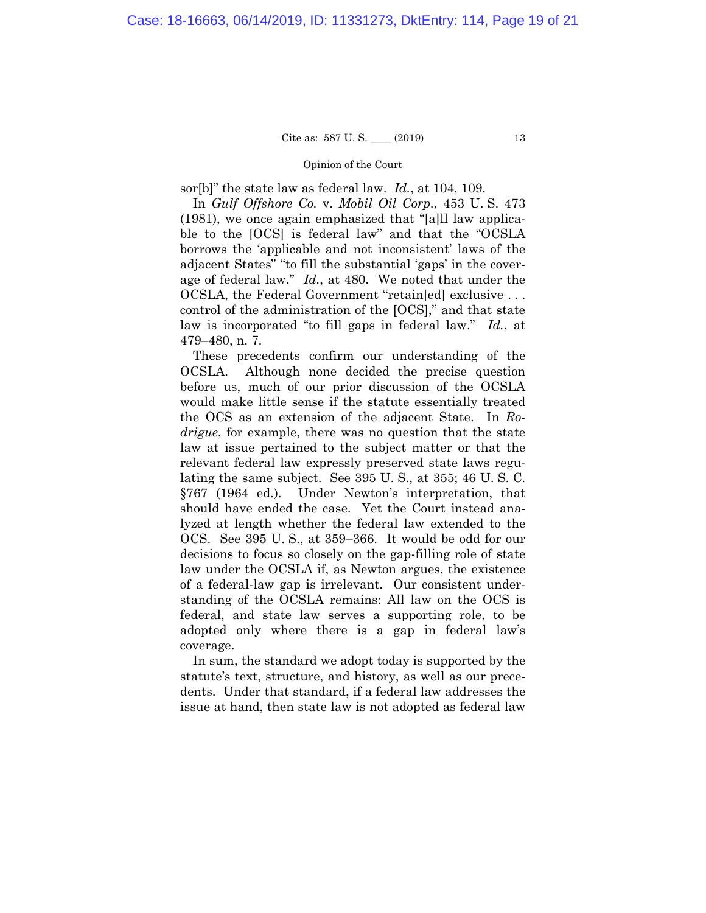#### Opinion of the Court

sor[b]" the state law as federal law. *Id.*, at 104, 109.

In *Gulf Offshore Co.* v. *Mobil Oil Corp.*, 453 U. S. 473 (1981), we once again emphasized that "[a]ll law applicable to the [OCS] is federal law" and that the "OCSLA borrows the 'applicable and not inconsistent' laws of the adjacent States" "to fill the substantial 'gaps' in the coverage of federal law." *Id.*, at 480. We noted that under the OCSLA, the Federal Government "retain[ed] exclusive . . . control of the administration of the [OCS]," and that state law is incorporated "to fill gaps in federal law." *Id.*, at 479–480, n. 7.

These precedents confirm our understanding of the OCSLA. Although none decided the precise question before us, much of our prior discussion of the OCSLA would make little sense if the statute essentially treated the OCS as an extension of the adjacent State. In *Rodrigue*, for example, there was no question that the state law at issue pertained to the subject matter or that the relevant federal law expressly preserved state laws regulating the same subject. See 395 U. S., at 355; 46 U. S. C. §767 (1964 ed.). Under Newton's interpretation, that should have ended the case. Yet the Court instead analyzed at length whether the federal law extended to the OCS. See 395 U. S., at 359–366. It would be odd for our decisions to focus so closely on the gap-filling role of state law under the OCSLA if, as Newton argues, the existence of a federal-law gap is irrelevant. Our consistent understanding of the OCSLA remains: All law on the OCS is federal, and state law serves a supporting role, to be adopted only where there is a gap in federal law's coverage.

In sum, the standard we adopt today is supported by the statute's text, structure, and history, as well as our precedents. Under that standard, if a federal law addresses the issue at hand, then state law is not adopted as federal law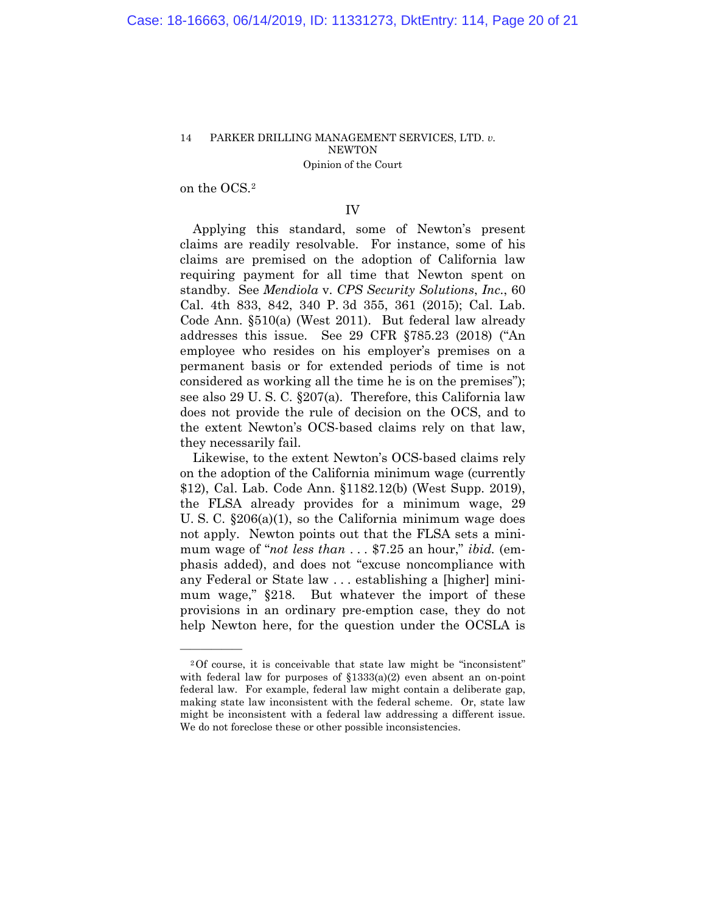on the OCS.[2](#page-19-0)

——————

## IV

Applying this standard, some of Newton's present claims are readily resolvable. For instance, some of his claims are premised on the adoption of California law requiring payment for all time that Newton spent on standby. See *Mendiola* v. *CPS Security Solutions*, *Inc.*, 60 Cal. 4th 833, 842, 340 P. 3d 355, 361 (2015); Cal. Lab. Code Ann. §510(a) (West 2011). But federal law already addresses this issue. See 29 CFR §785.23 (2018) ("An employee who resides on his employer's premises on a permanent basis or for extended periods of time is not considered as working all the time he is on the premises"); see also 29 U. S. C. §207(a). Therefore, this California law does not provide the rule of decision on the OCS, and to the extent Newton's OCS-based claims rely on that law, they necessarily fail.

Likewise, to the extent Newton's OCS-based claims rely on the adoption of the California minimum wage (currently \$12), Cal. Lab. Code Ann. §1182.12(b) (West Supp. 2019), the FLSA already provides for a minimum wage, 29 U. S. C. §206(a)(1), so the California minimum wage does not apply. Newton points out that the FLSA sets a minimum wage of "*not less than* . . . \$7.25 an hour," *ibid.* (emphasis added), and does not "excuse noncompliance with any Federal or State law . . . establishing a [higher] minimum wage," §218. But whatever the import of these provisions in an ordinary pre-emption case, they do not help Newton here, for the question under the OCSLA is

<span id="page-19-0"></span><sup>2</sup>Of course, it is conceivable that state law might be "inconsistent" with federal law for purposes of  $$1333(a)(2)$  even absent an on-point federal law. For example, federal law might contain a deliberate gap, making state law inconsistent with the federal scheme. Or, state law might be inconsistent with a federal law addressing a different issue. We do not foreclose these or other possible inconsistencies.